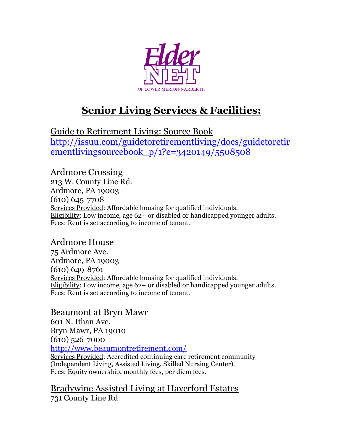

# **Senior Living Services & Facilities:**

Guide to Retirement Living: Source Book [http://issuu.com/guidetoretirementliving/docs/guidetoretir](http://issuu.com/guidetoretirementliving/docs/guidetoretirementlivingsourcebook_p/1?e=3420149/5508508) ementlivingsourcebook  $p/1?e=3420149/5508508$ 

Ardmore Crossing 213 W. County Line Rd. Ardmore, PA 19003 (610) 645-7708 Services Provided: Affordable housing for qualified individuals. Eligibility: Low income, age 62+ or disabled or handicapped younger adults. Fees: Rent is set according to income of tenant.

#### Ardmore House

75 Ardmore Ave. Ardmore, PA 19003 (610) 649-8761 Services Provided: Affordable housing for qualified individuals. Eligibility: Low income, age 62+ or disabled or handicapped younger adults. Fees: Rent is set according to income of tenant.

#### Beaumont at Bryn Mawr

601 N. Ithan Ave. Bryn Mawr, PA 19010 (610) 526-7000 <http://www.beaumontretirement.com/>

Services Provided: Accredited continuing care retirement community (Independent Living, Assisted Living, Skilled Nursing Center). Fees: Equity ownership, monthly fees, per diem fees.

Bradywine Assisted Living at Haverford Estates 731 County Line Rd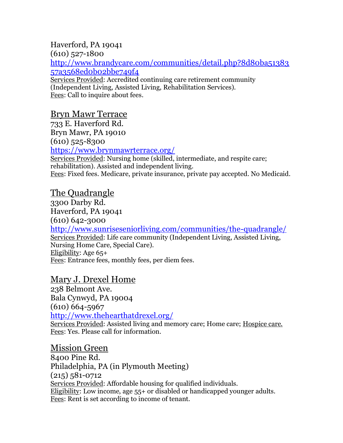# Haverford, PA 19041

(610) 527-1800

[http://www.brandycare.com/communities/detail.php?8d80ba51383](http://www.brandycare.com/communities/detail.php?8d80ba5138357a3568ed0b02bbe749f4) [57a3568ed0b02bbe749f4](http://www.brandycare.com/communities/detail.php?8d80ba5138357a3568ed0b02bbe749f4)

Services Provided: Accredited continuing care retirement community (Independent Living, Assisted Living, Rehabilitation Services). Fees: Call to inquire about fees.

## Bryn Mawr Terrace

733 E. Haverford Rd.

Bryn Mawr, PA 19010

(610) 525-8300

<https://www.brynmawrterrace.org/>

Services Provided: Nursing home (skilled, intermediate, and respite care; rehabilitation). Assisted and independent living. Fees: Fixed fees. Medicare, private insurance, private pay accepted. No Medicaid.

## The Quadrangle

3300 Darby Rd. Haverford, PA 19041 (610) 642-3000 [http://www.sunriseseniorliving.com/communities/the-quadrangle/](http://www.sunriseseniorliving.com/communities/the-quadrangle/overview.aspx)  Services Provided: Life care community (Independent Living, Assisted Living, Nursing Home Care, Special Care). Eligibility: Age 65+ Fees: Entrance fees, monthly fees, per diem fees.

## Mary J. Drexel Home

238 Belmont Ave. Bala Cynwyd, PA 19004 (610) 664-5967 <http://www.thehearthatdrexel.org/> Services Provided: Assisted living and memory care; Home care; Hospice care. Fees: Yes. Please call for information.

Mission Green 8400 Pine Rd. Philadelphia, PA (in Plymouth Meeting) (215) 581-0712 Services Provided: Affordable housing for qualified individuals. Eligibility: Low income, age 55+ or disabled or handicapped younger adults. Fees: Rent is set according to income of tenant.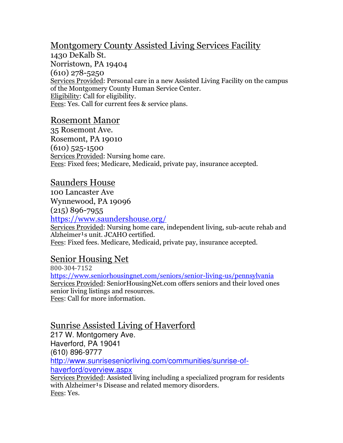## Montgomery County Assisted Living Services Facility

1430 DeKalb St. Norristown, PA 19404 (610) 278-5250 Services Provided: Personal care in a new Assisted Living Facility on the campus of the Montgomery County Human Service Center. Eligibility: Call for eligibility. Fees: Yes. Call for current fees & service plans.

#### Rosemont Manor

35 Rosemont Ave. Rosemont, PA 19010 (610) 525-1500 Services Provided: Nursing home care. Fees: Fixed fees; Medicare, Medicaid, private pay, insurance accepted.

#### Saunders House

100 Lancaster Ave Wynnewood, PA 19096

(215) 896-7955

<https://www.saundershouse.org/>

Services Provided: Nursing home care, independent living, sub-acute rehab and Alzheimer<sup>1</sup>s unit. JCAHO certified. Fees: Fixed fees. Medicare, Medicaid, private pay, insurance accepted.

#### Senior Housing Net

800-304-7152 <https://www.seniorhousingnet.com/seniors/senior-living-us/pennsylvania> Services Provided: SeniorHousingNet.com offers seniors and their loved ones senior living listings and resources. Fees: Call for more information.

## Sunrise Assisted Living of Haverford

217 W. Montgomery Ave. Haverford, PA 19041 (610) 896-9777 [http://www.sunriseseniorliving.com/communities/sunrise-of](http://www.sunriseseniorliving.com/communities/sunrise-of-haverford/overview.aspx)[haverford/overview.aspx](http://www.sunriseseniorliving.com/communities/sunrise-of-haverford/overview.aspx)

Services Provided: Assisted living including a specialized program for residents with Alzheimer<sup>1</sup>s Disease and related memory disorders. Fees: Yes.